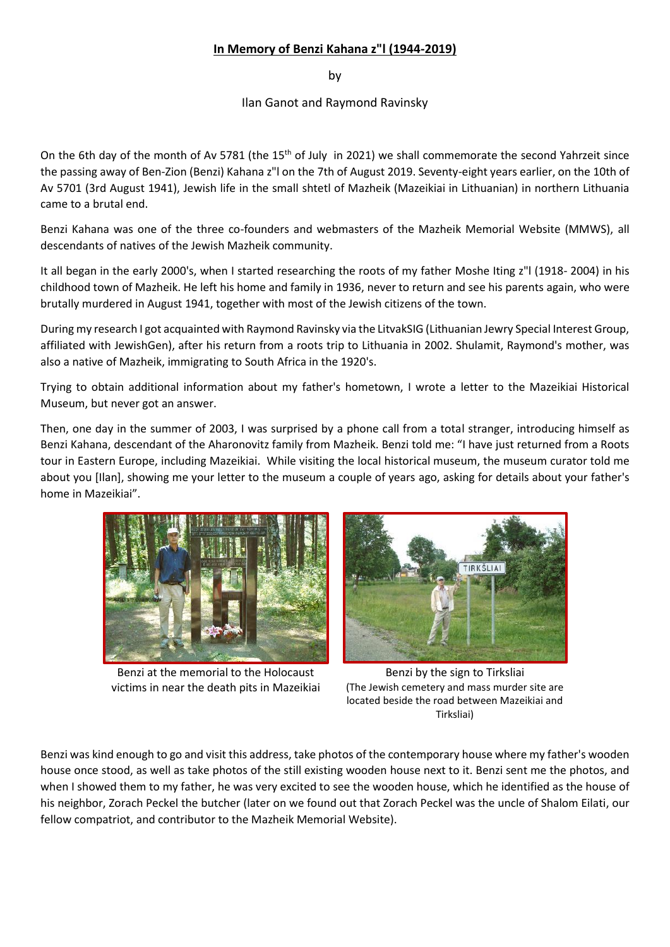## **In Memory of Benzi Kahana z"l (1944-2019)**

by

## Ilan Ganot and Raymond Ravinsky

On the 6th day of the month of Av 5781 (the 15<sup>th</sup> of July in 2021) we shall commemorate the second Yahrzeit since the passing away of Ben-Zion (Benzi) Kahana z"l on the 7th of August 2019. Seventy-eight years earlier, on the 10th of Av 5701 (3rd August 1941), Jewish life in the small shtetl of Mazheik (Mazeikiai in Lithuanian) in northern Lithuania came to a brutal end.

Benzi Kahana was one of the three co-founders and webmasters of the Mazheik Memorial Website (MMWS), all descendants of natives of the Jewish Mazheik community.

It all began in the early 2000's, when I started researching the roots of my father Moshe Iting z"l (1918- 2004) in his childhood town of Mazheik. He left his home and family in 1936, never to return and see his parents again, who were brutally murdered in August 1941, together with most of the Jewish citizens of the town.

During my research I got acquainted with Raymond Ravinsky via the LitvakSIG (Lithuanian Jewry Special Interest Group, affiliated with JewishGen), after his return from a roots trip to Lithuania in 2002. Shulamit, Raymond's mother, was also a native of Mazheik, immigrating to South Africa in the 1920's.

Trying to obtain additional information about my father's hometown, I wrote a letter to the Mazeikiai Historical Museum, but never got an answer.

Then, one day in the summer of 2003, I was surprised by a phone call from a total stranger, introducing himself as Benzi Kahana, descendant of the Aharonovitz family from Mazheik. Benzi told me: "I have just returned from a Roots tour in Eastern Europe, including Mazeikiai. While visiting the local historical museum, the museum curator told me about you [Ilan], showing me your letter to the museum a couple of years ago, asking for details about your father's home in Mazeikiai".



Benzi at the memorial to the Holocaust victims in near the death pits in Mazeikiai



Benzi by the sign to Tirksliai (The Jewish cemetery and mass murder site are located beside the road between Mazeikiai and Tirksliai)

Benzi was kind enough to go and visit this address, take photos of the contemporary house where my father's wooden house once stood, as well as take photos of the still existing wooden house next to it. Benzi sent me the photos, and when I showed them to my father, he was very excited to see the wooden house, which he identified as the house of his neighbor, Zorach Peckel the butcher (later on we found out that Zorach Peckel was the uncle of Shalom Eilati, our fellow compatriot, and contributor to the Mazheik Memorial Website).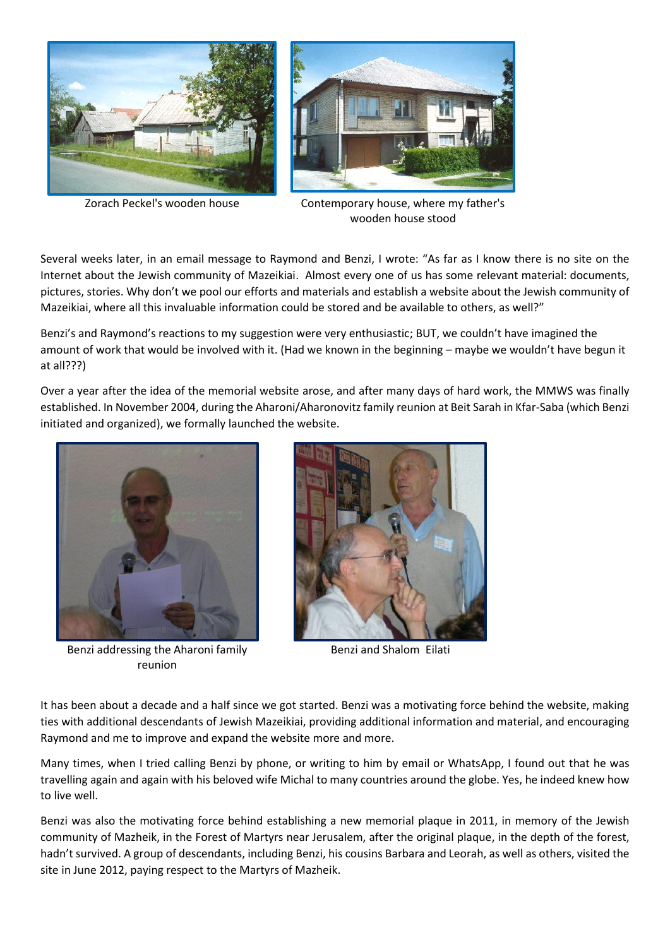



Zorach Peckel's wooden house Contemporary house, where my father's wooden house stood

Several weeks later, in an email message to Raymond and Benzi, I wrote: "As far as I know there is no site on the Internet about the Jewish community of Mazeikiai. Almost every one of us has some relevant material: documents, pictures, stories. Why don't we pool our efforts and materials and establish a website about the Jewish community of Mazeikiai, where all this invaluable information could be stored and be available to others, as well?"

Benzi's and Raymond's reactions to my suggestion were very enthusiastic; BUT, we couldn't have imagined the amount of work that would be involved with it. (Had we known in the beginning – maybe we wouldn't have begun it at all???)

Over a year after the idea of the memorial website arose, and after many days of hard work, the MMWS was finally established. In November 2004, during the Aharoni/Aharonovitz family reunion at Beit Sarah in Kfar-Saba (which Benzi initiated and organized), we formally launched the website.



Benzi addressing the Aharoni family reunion



Benzi and Shalom Eilati

It has been about a decade and a half since we got started. Benzi was a motivating force behind the website, making ties with additional descendants of Jewish Mazeikiai, providing additional information and material, and encouraging Raymond and me to improve and expand the website more and more.

Many times, when I tried calling Benzi by phone, or writing to him by email or WhatsApp, I found out that he was travelling again and again with his beloved wife Michal to many countries around the globe. Yes, he indeed knew how to live well.

Benzi was also the motivating force behind establishing a new memorial plaque in 2011, in memory of the Jewish community of Mazheik, in the Forest of Martyrs near Jerusalem, after the original plaque, in the depth of the forest, hadn't survived. A group of descendants, including Benzi, his cousins Barbara and Leorah, as well as others, visited the site in June 2012, paying respect to the Martyrs of Mazheik.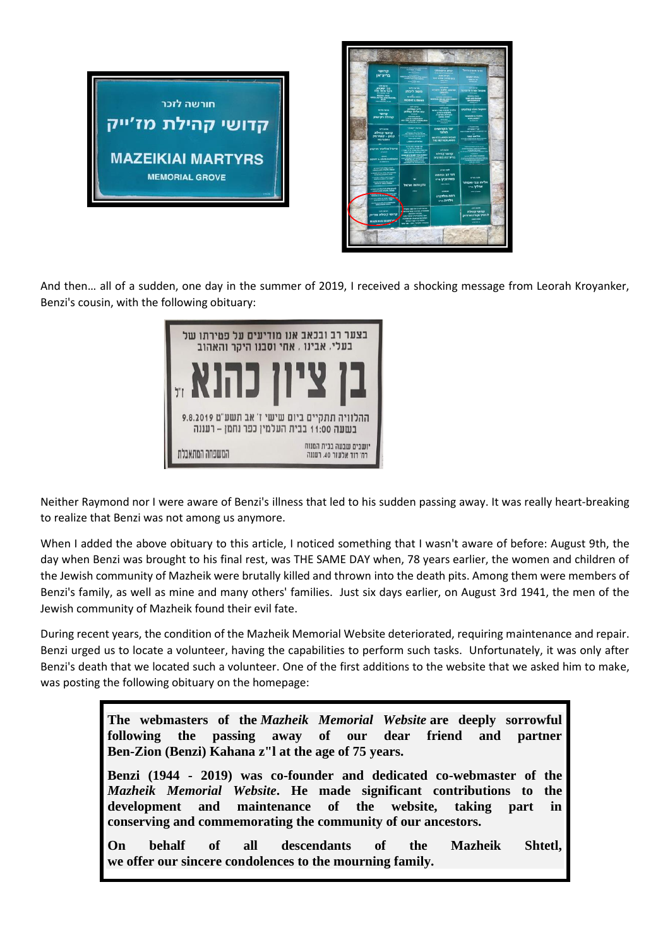



And then… all of a sudden, one day in the summer of 2019, I received a shocking message from Leorah Kroyanker, Benzi's cousin, with the following obituary:



Neither Raymond nor I were aware of Benzi's illness that led to his sudden passing away. It was really heart-breaking to realize that Benzi was not among us anymore.

When I added the above obituary to this article, I noticed something that I wasn't aware of before: August 9th, the day when Benzi was brought to his final rest, was THE SAME DAY when, 78 years earlier, the women and children of the Jewish community of Mazheik were brutally killed and thrown into the death pits. Among them were members of Benzi's family, as well as mine and many others' families. Just six days earlier, on August 3rd 1941, the men of the Jewish community of Mazheik found their evil fate.

During recent years, the condition of the Mazheik Memorial Website deteriorated, requiring maintenance and repair. Benzi urged us to locate a volunteer, having the capabilities to perform such tasks. Unfortunately, it was only after Benzi's death that we located such a volunteer. One of the first additions to the website that we asked him to make, was posting the following obituary on the homepage:

> **The webmasters of the** *Mazheik Memorial Website* **are deeply sorrowful following the passing away of our dear friend and partner Ben-Zion (Benzi) Kahana z"l at the age of 75 years.**

> **Benzi (1944 - 2019) was co-founder and dedicated co-webmaster of the** *Mazheik Memorial Website***. He made significant contributions to the development and maintenance of the website, taking part in conserving and commemorating the community of our ancestors.**

> **On behalf of all descendants of the Mazheik Shtetl, we offer our sincere condolences to the mourning family.**